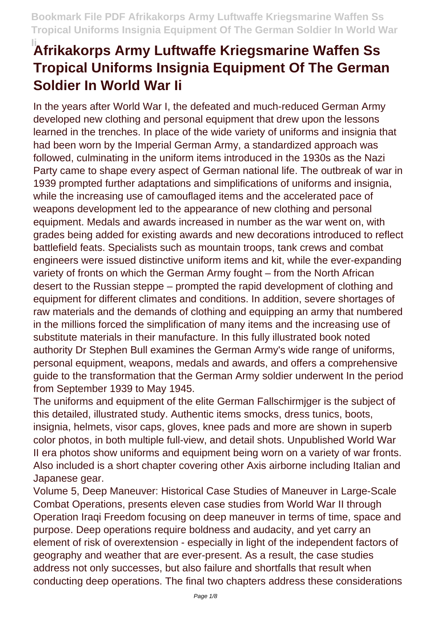In the years after World War I, the defeated and much-reduced German Army developed new clothing and personal equipment that drew upon the lessons learned in the trenches. In place of the wide variety of uniforms and insignia that had been worn by the Imperial German Army, a standardized approach was followed, culminating in the uniform items introduced in the 1930s as the Nazi Party came to shape every aspect of German national life. The outbreak of war in 1939 prompted further adaptations and simplifications of uniforms and insignia, while the increasing use of camouflaged items and the accelerated pace of weapons development led to the appearance of new clothing and personal equipment. Medals and awards increased in number as the war went on, with grades being added for existing awards and new decorations introduced to reflect battlefield feats. Specialists such as mountain troops, tank crews and combat engineers were issued distinctive uniform items and kit, while the ever-expanding variety of fronts on which the German Army fought – from the North African desert to the Russian steppe – prompted the rapid development of clothing and equipment for different climates and conditions. In addition, severe shortages of raw materials and the demands of clothing and equipping an army that numbered in the millions forced the simplification of many items and the increasing use of substitute materials in their manufacture. In this fully illustrated book noted authority Dr Stephen Bull examines the German Army's wide range of uniforms, personal equipment, weapons, medals and awards, and offers a comprehensive guide to the transformation that the German Army soldier underwent In the period from September 1939 to May 1945.

The uniforms and equipment of the elite German Fallschirmjger is the subject of this detailed, illustrated study. Authentic items smocks, dress tunics, boots, insignia, helmets, visor caps, gloves, knee pads and more are shown in superb color photos, in both multiple full-view, and detail shots. Unpublished World War II era photos show uniforms and equipment being worn on a variety of war fronts. Also included is a short chapter covering other Axis airborne including Italian and Japanese gear.

Volume 5, Deep Maneuver: Historical Case Studies of Maneuver in Large-Scale Combat Operations, presents eleven case studies from World War II through Operation Iraqi Freedom focusing on deep maneuver in terms of time, space and purpose. Deep operations require boldness and audacity, and yet carry an element of risk of overextension - especially in light of the independent factors of geography and weather that are ever-present. As a result, the case studies address not only successes, but also failure and shortfalls that result when conducting deep operations. The final two chapters address these considerations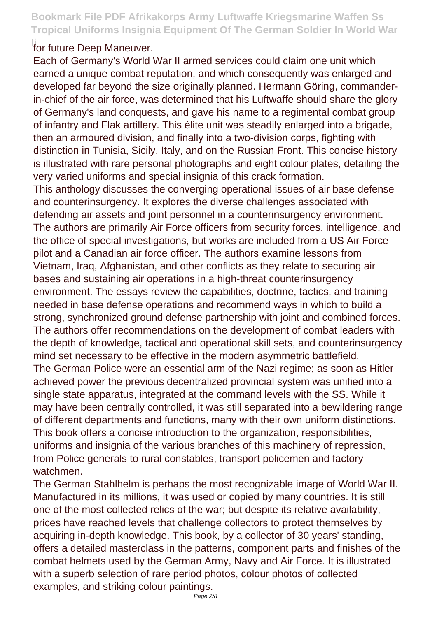#### **Ifor future Deep Maneuver.**

Each of Germany's World War II armed services could claim one unit which earned a unique combat reputation, and which consequently was enlarged and developed far beyond the size originally planned. Hermann Göring, commanderin-chief of the air force, was determined that his Luftwaffe should share the glory of Germany's land conquests, and gave his name to a regimental combat group of infantry and Flak artillery. This élite unit was steadily enlarged into a brigade, then an armoured division, and finally into a two-division corps, fighting with distinction in Tunisia, Sicily, Italy, and on the Russian Front. This concise history is illustrated with rare personal photographs and eight colour plates, detailing the very varied uniforms and special insignia of this crack formation.

This anthology discusses the converging operational issues of air base defense and counterinsurgency. It explores the diverse challenges associated with defending air assets and joint personnel in a counterinsurgency environment. The authors are primarily Air Force officers from security forces, intelligence, and the office of special investigations, but works are included from a US Air Force pilot and a Canadian air force officer. The authors examine lessons from Vietnam, Iraq, Afghanistan, and other conflicts as they relate to securing air bases and sustaining air operations in a high-threat counterinsurgency environment. The essays review the capabilities, doctrine, tactics, and training needed in base defense operations and recommend ways in which to build a strong, synchronized ground defense partnership with joint and combined forces. The authors offer recommendations on the development of combat leaders with the depth of knowledge, tactical and operational skill sets, and counterinsurgency mind set necessary to be effective in the modern asymmetric battlefield. The German Police were an essential arm of the Nazi regime; as soon as Hitler achieved power the previous decentralized provincial system was unified into a single state apparatus, integrated at the command levels with the SS. While it may have been centrally controlled, it was still separated into a bewildering range of different departments and functions, many with their own uniform distinctions. This book offers a concise introduction to the organization, responsibilities,

uniforms and insignia of the various branches of this machinery of repression, from Police generals to rural constables, transport policemen and factory watchmen.

The German Stahlhelm is perhaps the most recognizable image of World War II. Manufactured in its millions, it was used or copied by many countries. It is still one of the most collected relics of the war; but despite its relative availability, prices have reached levels that challenge collectors to protect themselves by acquiring in-depth knowledge. This book, by a collector of 30 years' standing, offers a detailed masterclass in the patterns, component parts and finishes of the combat helmets used by the German Army, Navy and Air Force. It is illustrated with a superb selection of rare period photos, colour photos of collected examples, and striking colour paintings.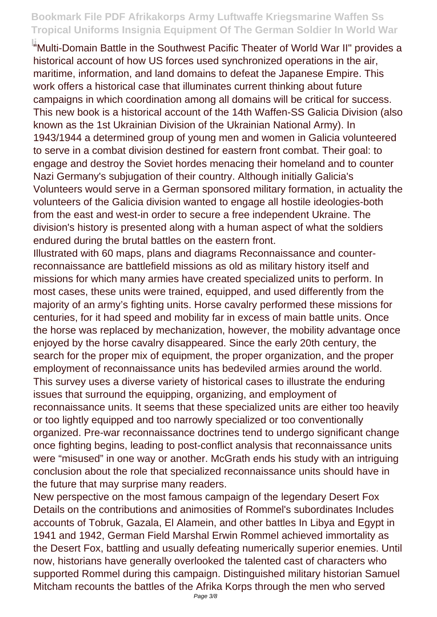**Ii**"Multi-Domain Battle in the Southwest Pacific Theater of World War II" provides a historical account of how US forces used synchronized operations in the air, maritime, information, and land domains to defeat the Japanese Empire. This work offers a historical case that illuminates current thinking about future campaigns in which coordination among all domains will be critical for success. This new book is a historical account of the 14th Waffen-SS Galicia Division (also known as the 1st Ukrainian Division of the Ukrainian National Army). In 1943/1944 a determined group of young men and women in Galicia volunteered to serve in a combat division destined for eastern front combat. Their goal: to engage and destroy the Soviet hordes menacing their homeland and to counter Nazi Germany's subjugation of their country. Although initially Galicia's Volunteers would serve in a German sponsored military formation, in actuality the volunteers of the Galicia division wanted to engage all hostile ideologies-both from the east and west-in order to secure a free independent Ukraine. The division's history is presented along with a human aspect of what the soldiers endured during the brutal battles on the eastern front.

Illustrated with 60 maps, plans and diagrams Reconnaissance and counterreconnaissance are battlefield missions as old as military history itself and missions for which many armies have created specialized units to perform. In most cases, these units were trained, equipped, and used differently from the majority of an army's fighting units. Horse cavalry performed these missions for centuries, for it had speed and mobility far in excess of main battle units. Once the horse was replaced by mechanization, however, the mobility advantage once enjoyed by the horse cavalry disappeared. Since the early 20th century, the search for the proper mix of equipment, the proper organization, and the proper employment of reconnaissance units has bedeviled armies around the world. This survey uses a diverse variety of historical cases to illustrate the enduring issues that surround the equipping, organizing, and employment of reconnaissance units. It seems that these specialized units are either too heavily or too lightly equipped and too narrowly specialized or too conventionally organized. Pre-war reconnaissance doctrines tend to undergo significant change once fighting begins, leading to post-conflict analysis that reconnaissance units were "misused" in one way or another. McGrath ends his study with an intriguing conclusion about the role that specialized reconnaissance units should have in the future that may surprise many readers.

New perspective on the most famous campaign of the legendary Desert Fox Details on the contributions and animosities of Rommel's subordinates Includes accounts of Tobruk, Gazala, El Alamein, and other battles In Libya and Egypt in 1941 and 1942, German Field Marshal Erwin Rommel achieved immortality as the Desert Fox, battling and usually defeating numerically superior enemies. Until now, historians have generally overlooked the talented cast of characters who supported Rommel during this campaign. Distinguished military historian Samuel Mitcham recounts the battles of the Afrika Korps through the men who served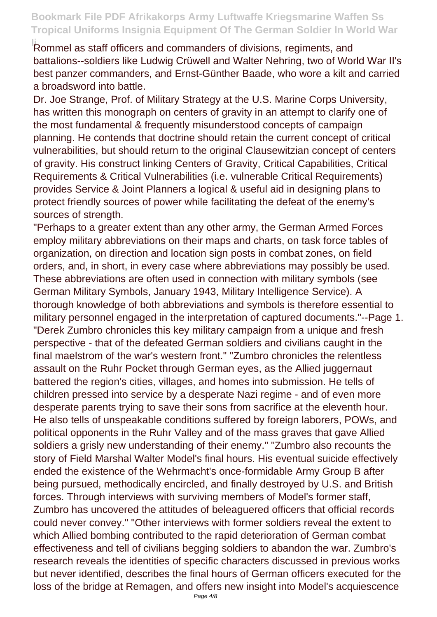**Rommel as staff officers and commanders of divisions, regiments, and** battalions--soldiers like Ludwig Crüwell and Walter Nehring, two of World War II's best panzer commanders, and Ernst-Günther Baade, who wore a kilt and carried a broadsword into battle.

Dr. Joe Strange, Prof. of Military Strategy at the U.S. Marine Corps University, has written this monograph on centers of gravity in an attempt to clarify one of the most fundamental & frequently misunderstood concepts of campaign planning. He contends that doctrine should retain the current concept of critical vulnerabilities, but should return to the original Clausewitzian concept of centers of gravity. His construct linking Centers of Gravity, Critical Capabilities, Critical Requirements & Critical Vulnerabilities (i.e. vulnerable Critical Requirements) provides Service & Joint Planners a logical & useful aid in designing plans to protect friendly sources of power while facilitating the defeat of the enemy's sources of strength.

"Perhaps to a greater extent than any other army, the German Armed Forces employ military abbreviations on their maps and charts, on task force tables of organization, on direction and location sign posts in combat zones, on field orders, and, in short, in every case where abbreviations may possibly be used. These abbreviations are often used in connection with military symbols (see German Military Symbols, January 1943, Military Intelligence Service). A thorough knowledge of both abbreviations and symbols is therefore essential to military personnel engaged in the interpretation of captured documents."--Page 1. "Derek Zumbro chronicles this key military campaign from a unique and fresh perspective - that of the defeated German soldiers and civilians caught in the final maelstrom of the war's western front." "Zumbro chronicles the relentless assault on the Ruhr Pocket through German eyes, as the Allied juggernaut battered the region's cities, villages, and homes into submission. He tells of children pressed into service by a desperate Nazi regime - and of even more desperate parents trying to save their sons from sacrifice at the eleventh hour. He also tells of unspeakable conditions suffered by foreign laborers, POWs, and political opponents in the Ruhr Valley and of the mass graves that gave Allied soldiers a grisly new understanding of their enemy." "Zumbro also recounts the story of Field Marshal Walter Model's final hours. His eventual suicide effectively ended the existence of the Wehrmacht's once-formidable Army Group B after being pursued, methodically encircled, and finally destroyed by U.S. and British forces. Through interviews with surviving members of Model's former staff, Zumbro has uncovered the attitudes of beleaguered officers that official records could never convey." "Other interviews with former soldiers reveal the extent to which Allied bombing contributed to the rapid deterioration of German combat effectiveness and tell of civilians begging soldiers to abandon the war. Zumbro's research reveals the identities of specific characters discussed in previous works but never identified, describes the final hours of German officers executed for the loss of the bridge at Remagen, and offers new insight into Model's acquiescence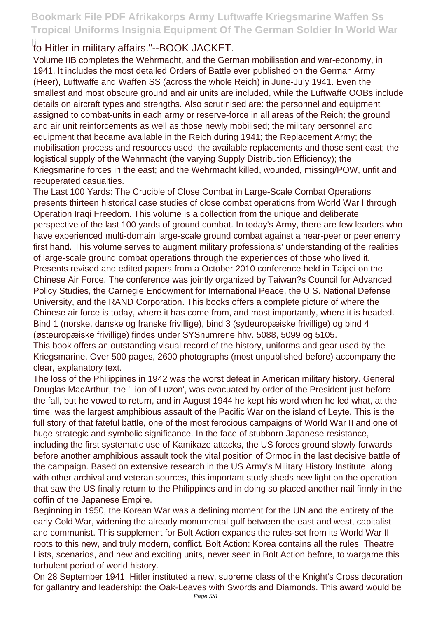### **Ii**to Hitler in military affairs."--BOOK JACKET.

Volume IIB completes the Wehrmacht, and the German mobilisation and war-economy, in 1941. It includes the most detailed Orders of Battle ever published on the German Army (Heer), Luftwaffe and Waffen SS (across the whole Reich) in June-July 1941. Even the smallest and most obscure ground and air units are included, while the Luftwaffe OOBs include details on aircraft types and strengths. Also scrutinised are: the personnel and equipment assigned to combat-units in each army or reserve-force in all areas of the Reich; the ground and air unit reinforcements as well as those newly mobilised; the military personnel and equipment that became available in the Reich during 1941; the Replacement Army; the mobilisation process and resources used; the available replacements and those sent east; the logistical supply of the Wehrmacht (the varying Supply Distribution Efficiency); the Kriegsmarine forces in the east; and the Wehrmacht killed, wounded, missing/POW, unfit and recuperated casualties.

The Last 100 Yards: The Crucible of Close Combat in Large-Scale Combat Operations presents thirteen historical case studies of close combat operations from World War I through Operation Iraqi Freedom. This volume is a collection from the unique and deliberate perspective of the last 100 yards of ground combat. In today's Army, there are few leaders who have experienced multi-domain large-scale ground combat against a near-peer or peer enemy first hand. This volume serves to augment military professionals' understanding of the realities of large-scale ground combat operations through the experiences of those who lived it. Presents revised and edited papers from a October 2010 conference held in Taipei on the Chinese Air Force. The conference was jointly organized by Taiwan?s Council for Advanced Policy Studies, the Carnegie Endowment for International Peace, the U.S. National Defense University, and the RAND Corporation. This books offers a complete picture of where the Chinese air force is today, where it has come from, and most importantly, where it is headed. Bind 1 (norske, danske og franske frivillige), bind 3 (sydeuropæiske frivillige) og bind 4 (østeuropæiske frivillige) findes under SYSnumrene hhv. 5088, 5099 og 5105. This book offers an outstanding visual record of the history, uniforms and gear used by the Kriegsmarine. Over 500 pages, 2600 photographs (most unpublished before) accompany the

clear, explanatory text.

The loss of the Philippines in 1942 was the worst defeat in American military history. General Douglas MacArthur, the 'Lion of Luzon', was evacuated by order of the President just before the fall, but he vowed to return, and in August 1944 he kept his word when he led what, at the time, was the largest amphibious assault of the Pacific War on the island of Leyte. This is the full story of that fateful battle, one of the most ferocious campaigns of World War II and one of huge strategic and symbolic significance. In the face of stubborn Japanese resistance, including the first systematic use of Kamikaze attacks, the US forces ground slowly forwards before another amphibious assault took the vital position of Ormoc in the last decisive battle of the campaign. Based on extensive research in the US Army's Military History Institute, along with other archival and veteran sources, this important study sheds new light on the operation that saw the US finally return to the Philippines and in doing so placed another nail firmly in the coffin of the Japanese Empire.

Beginning in 1950, the Korean War was a defining moment for the UN and the entirety of the early Cold War, widening the already monumental gulf between the east and west, capitalist and communist. This supplement for Bolt Action expands the rules-set from its World War II roots to this new, and truly modern, conflict. Bolt Action: Korea contains all the rules, Theatre Lists, scenarios, and new and exciting units, never seen in Bolt Action before, to wargame this turbulent period of world history.

On 28 September 1941, Hitler instituted a new, supreme class of the Knight's Cross decoration for gallantry and leadership: the Oak-Leaves with Swords and Diamonds. This award would be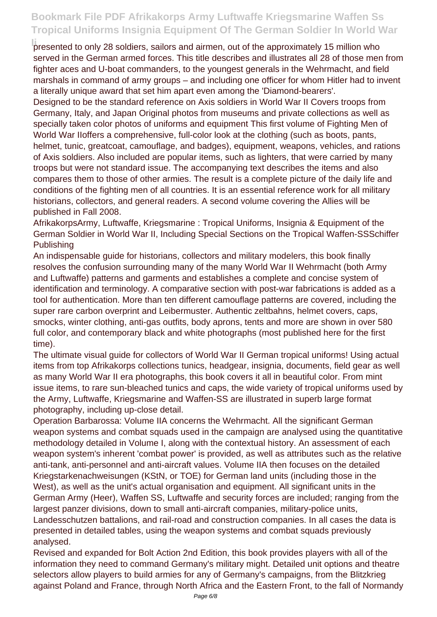**I** presented to only 28 soldiers, sailors and airmen, out of the approximately 15 million who served in the German armed forces. This title describes and illustrates all 28 of those men from fighter aces and U-boat commanders, to the youngest generals in the Wehrmacht, and field marshals in command of army groups – and including one officer for whom Hitler had to invent a literally unique award that set him apart even among the 'Diamond-bearers'.

Designed to be the standard reference on Axis soldiers in World War II Covers troops from Germany, Italy, and Japan Original photos from museums and private collections as well as specially taken color photos of uniforms and equipment This first volume of Fighting Men of World War IIoffers a comprehensive, full-color look at the clothing (such as boots, pants, helmet, tunic, greatcoat, camouflage, and badges), equipment, weapons, vehicles, and rations of Axis soldiers. Also included are popular items, such as lighters, that were carried by many troops but were not standard issue. The accompanying text describes the items and also compares them to those of other armies. The result is a complete picture of the daily life and conditions of the fighting men of all countries. It is an essential reference work for all military historians, collectors, and general readers. A second volume covering the Allies will be published in Fall 2008.

AfrikakorpsArmy, Luftwaffe, Kriegsmarine : Tropical Uniforms, Insignia & Equipment of the German Soldier in World War II, Including Special Sections on the Tropical Waffen-SSSchiffer Publishing

An indispensable guide for historians, collectors and military modelers, this book finally resolves the confusion surrounding many of the many World War II Wehrmacht (both Army and Luftwaffe) patterns and garments and establishes a complete and concise system of identification and terminology. A comparative section with post-war fabrications is added as a tool for authentication. More than ten different camouflage patterns are covered, including the super rare carbon overprint and Leibermuster. Authentic zeltbahns, helmet covers, caps, smocks, winter clothing, anti-gas outfits, body aprons, tents and more are shown in over 580 full color, and contemporary black and white photographs (most published here for the first time).

The ultimate visual guide for collectors of World War II German tropical uniforms! Using actual items from top Afrikakorps collections tunics, headgear, insignia, documents, field gear as well as many World War II era photographs, this book covers it all in beautiful color. From mint issue items, to rare sun-bleached tunics and caps, the wide variety of tropical uniforms used by the Army, Luftwaffe, Kriegsmarine and Waffen-SS are illustrated in superb large format photography, including up-close detail.

Operation Barbarossa: Volume IIA concerns the Wehrmacht. All the significant German weapon systems and combat squads used in the campaign are analysed using the quantitative methodology detailed in Volume I, along with the contextual history. An assessment of each weapon system's inherent 'combat power' is provided, as well as attributes such as the relative anti-tank, anti-personnel and anti-aircraft values. Volume IIA then focuses on the detailed Kriegstarkenachweisungen (KStN, or TOE) for German land units (including those in the West), as well as the unit's actual organisation and equipment. All significant units in the German Army (Heer), Waffen SS, Luftwaffe and security forces are included; ranging from the largest panzer divisions, down to small anti-aircraft companies, military-police units, Landesschutzen battalions, and rail-road and construction companies. In all cases the data is presented in detailed tables, using the weapon systems and combat squads previously analysed.

Revised and expanded for Bolt Action 2nd Edition, this book provides players with all of the information they need to command Germany's military might. Detailed unit options and theatre selectors allow players to build armies for any of Germany's campaigns, from the Blitzkrieg against Poland and France, through North Africa and the Eastern Front, to the fall of Normandy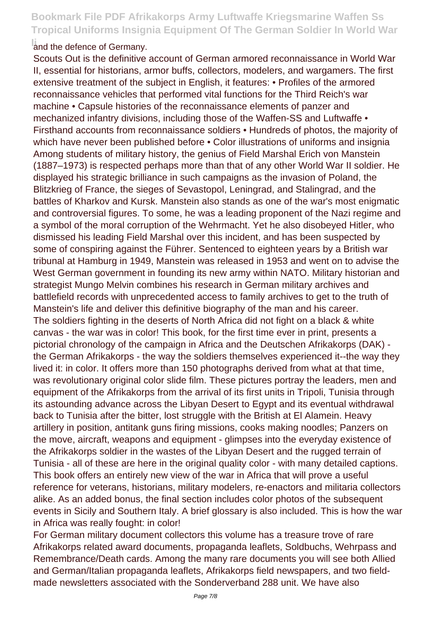#### **Iand the defence of Germany.**

Scouts Out is the definitive account of German armored reconnaissance in World War II, essential for historians, armor buffs, collectors, modelers, and wargamers. The first extensive treatment of the subject in English, it features: • Profiles of the armored reconnaissance vehicles that performed vital functions for the Third Reich's war machine • Capsule histories of the reconnaissance elements of panzer and mechanized infantry divisions, including those of the Waffen-SS and Luftwaffe • Firsthand accounts from reconnaissance soldiers • Hundreds of photos, the majority of which have never been published before • Color illustrations of uniforms and insignia Among students of military history, the genius of Field Marshal Erich von Manstein (1887–1973) is respected perhaps more than that of any other World War II soldier. He displayed his strategic brilliance in such campaigns as the invasion of Poland, the Blitzkrieg of France, the sieges of Sevastopol, Leningrad, and Stalingrad, and the battles of Kharkov and Kursk. Manstein also stands as one of the war's most enigmatic and controversial figures. To some, he was a leading proponent of the Nazi regime and a symbol of the moral corruption of the Wehrmacht. Yet he also disobeyed Hitler, who dismissed his leading Field Marshal over this incident, and has been suspected by some of conspiring against the Führer. Sentenced to eighteen years by a British war tribunal at Hamburg in 1949, Manstein was released in 1953 and went on to advise the West German government in founding its new army within NATO. Military historian and strategist Mungo Melvin combines his research in German military archives and battlefield records with unprecedented access to family archives to get to the truth of Manstein's life and deliver this definitive biography of the man and his career. The soldiers fighting in the deserts of North Africa did not fight on a black & white canvas - the war was in color! This book, for the first time ever in print, presents a pictorial chronology of the campaign in Africa and the Deutschen Afrikakorps (DAK) the German Afrikakorps - the way the soldiers themselves experienced it--the way they lived it: in color. It offers more than 150 photographs derived from what at that time, was revolutionary original color slide film. These pictures portray the leaders, men and equipment of the Afrikakorps from the arrival of its first units in Tripoli, Tunisia through its astounding advance across the Libyan Desert to Egypt and its eventual withdrawal back to Tunisia after the bitter, lost struggle with the British at El Alamein. Heavy artillery in position, antitank guns firing missions, cooks making noodles; Panzers on the move, aircraft, weapons and equipment - glimpses into the everyday existence of the Afrikakorps soldier in the wastes of the Libyan Desert and the rugged terrain of Tunisia - all of these are here in the original quality color - with many detailed captions. This book offers an entirely new view of the war in Africa that will prove a useful reference for veterans, historians, military modelers, re-enactors and militaria collectors alike. As an added bonus, the final section includes color photos of the subsequent events in Sicily and Southern Italy. A brief glossary is also included. This is how the war in Africa was really fought: in color!

For German military document collectors this volume has a treasure trove of rare Afrikakorps related award documents, propaganda leaflets, Soldbuchs, Wehrpass and Remembrance/Death cards. Among the many rare documents you will see both Allied and German/Italian propaganda leaflets, Afrikakorps field newspapers, and two fieldmade newsletters associated with the Sonderverband 288 unit. We have also